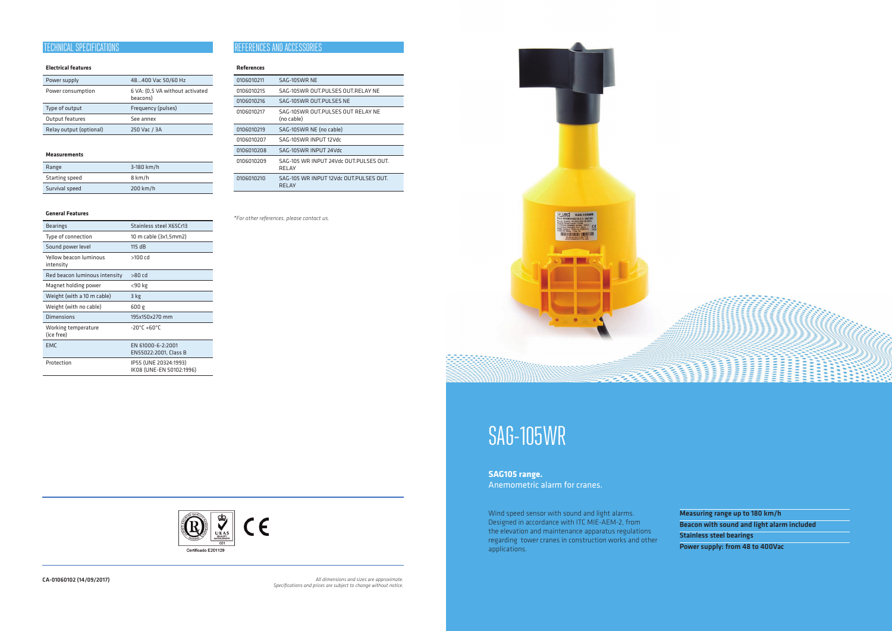#### **References**

| 0106010211 | SAG-105WR NE                                    |
|------------|-------------------------------------------------|
| 0106010215 | SAG-105WR OUT PULSES OUT RELAY NE               |
| 0106010216 | SAG-105WR OUT.PULSES NE                         |
| 0106010217 | SAG-105WR OUT.PULSES OUT RELAY NE<br>(no cable) |
| 0106010219 | SAG-105WR NE (no cable)                         |
| 0106010207 | SAG-105WR INPUT 12Vdc                           |
| 0106010208 | SAG-105WR INPUT 24Vdc                           |
| 0106010209 | SAG-105 WR INPUT 24Vdc OUT PULSES OUT.<br>RELAY |
| 0106010210 | SAG-105 WR INPUT 12Vdc OUT PULSES OUT.<br>RELAY |

Wind speed sensor with sound and light alarms. Designed in accordance with ITC MIE-AEM-2, from the elevation and maintenance apparatus regulations regarding tower cranes in construction works and other applications.

Measuring range up to 180 km/h Beacon with sound and light alarm included Stainless steel bearings

Power supply: from 48 to 400Vac

# SAG-105WR

**SAG105 range.**  Anemometric alarm for cranes.

CA-01060102 (14/09/2017) *All dimensions and sizes are approximate. Specifications and prices are subject to change without notice.*



# **Electrical features**

| Power supply      | 48400 Vac 50/60 Hz                          |  |
|-------------------|---------------------------------------------|--|
| Power consumption | 6 VA: (0,5 VA without activated<br>beacons) |  |
|                   |                                             |  |
| Type of output    | Frequency (pulses)                          |  |
| Output features   | See annex                                   |  |

#### **Measurements**

| Range          | 3-180 km/h |
|----------------|------------|
| Starting speed | 8 km/h     |
| Survival speed | $200$ km/h |

# **General Features**

| <b>Bearings</b>                     | Stainless steel X65Cr13                           |  |
|-------------------------------------|---------------------------------------------------|--|
| Type of connection                  | 10 m cable (3x1,5mm2)                             |  |
| Sound power level                   | 115 dB                                            |  |
| Yellow beacon luminous<br>intensitv | >100 cd                                           |  |
| Red beacon luminous intensity       | $>80$ cd                                          |  |
| Magnet holding power                | <90 kg                                            |  |
| Weight (with a 10 m cable)          | 3 kg                                              |  |
| Weight (with no cable)              | 600 g                                             |  |
| <b>Dimensions</b>                   | 195x150x270 mm                                    |  |
| Working temperature<br>(ice free)   | $-20^{\circ}$ C +60°C                             |  |
| <b>EMC</b>                          | EN 61000-6-2:2001<br>EN55022:2001, Class B        |  |
| Protection                          | IP55 (UNE 20324:1993)<br>IK08 (UNE-EN 50102:1996) |  |

# **TECHNICAL SPECIFICATIONS**

#### *\*For other references, please contact us.*